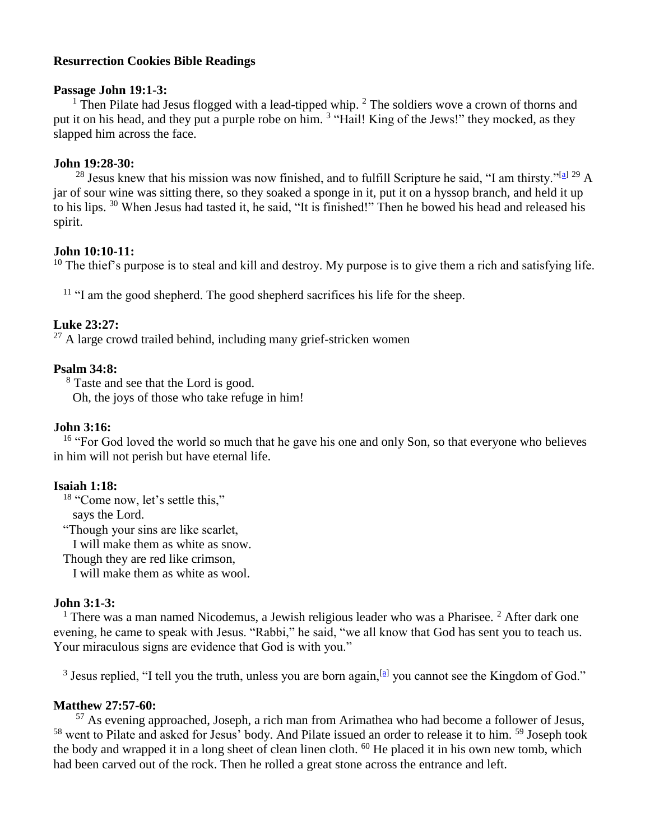### **Resurrection Cookies Bible Readings**

#### **Passage John 19:1-3:**

<sup>1</sup> Then Pilate had Jesus flogged with a lead-tipped whip.  $2$  The soldiers wove a crown of thorns and put it on his head, and they put a purple robe on him. <sup>3</sup> "Hail! King of the Jews!" they mocked, as they slapped him across the face.

## **John 19:28-30:**

<sup>28</sup> Jesus knew that his mission was now finished, and to fulfill Scripture he said, "I am thirsty."<sup>[\[a\]](http://bibleresources.bible.com/passagesearchresults.php?passage1=john+19%3A28-30&version1=51#fen-NLT-26818a#fen-NLT-26818a) 29</sup> A jar of sour wine was sitting there, so they soaked a sponge in it, put it on a hyssop branch, and held it up to his lips. <sup>30</sup> When Jesus had tasted it, he said, "It is finished!" Then he bowed his head and released his spirit.

## **John 10:10-11:**

 $10$  The thief's purpose is to steal and kill and destroy. My purpose is to give them a rich and satisfying life.

<sup>11</sup> "I am the good shepherd. The good shepherd sacrifices his life for the sheep.

# **Luke 23:27:**

 $^{27}$  A large crowd trailed behind, including many grief-stricken women

## **Psalm 34:8:**

<sup>8</sup> Taste and see that the Lord is good. Oh, the joys of those who take refuge in him!

## **John 3:16:**

<sup>16</sup> "For God loved the world so much that he gave his one and only Son, so that everyone who believes in him will not perish but have eternal life.

# **Isaiah 1:18:**

<sup>18</sup> "Come now, let's settle this,"

says the Lord.

"Though your sins are like scarlet,

I will make them as white as snow.

Though they are red like crimson,

I will make them as white as wool.

#### **John 3:1-3:**

<sup>1</sup> There was a man named Nicodemus, a Jewish religious leader who was a Pharisee. <sup>2</sup> After dark one evening, he came to speak with Jesus. "Rabbi," he said, "we all know that God has sent you to teach us. Your miraculous signs are evidence that God is with you."

<sup>3</sup> Jesus replied, "I tell you the truth, unless you are born again,  $[2]$  you cannot see the Kingdom of God."

# **Matthew 27:57-60:**

<sup>57</sup> As evening approached, Joseph, a rich man from Arimathea who had become a follower of Jesus, <sup>58</sup> went to Pilate and asked for Jesus' body. And Pilate issued an order to release it to him. <sup>59</sup> Joseph took the body and wrapped it in a long sheet of clean linen cloth. <sup>60</sup> He placed it in his own new tomb, which had been carved out of the rock. Then he rolled a great stone across the entrance and left.